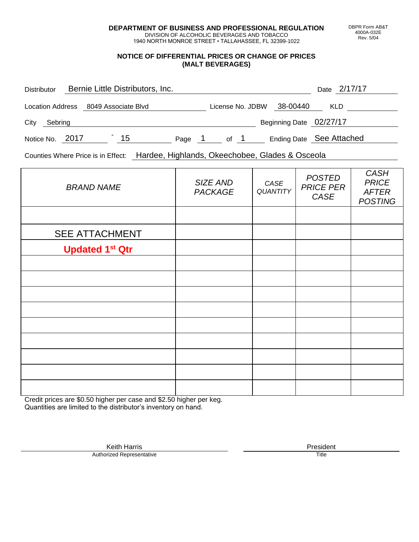**DEPARTMENT OF BUSINESS AND PROFESSIONAL REGULATION** DIVISION OF ALCOHOLIC BEVERAGES AND TOBACCO

1940 NORTH MONROE STREET • TALLAHASSEE, FL 32399-1022

## **NOTICE OF DIFFERENTIAL PRICES OR CHANGE OF PRICES (MALT BEVERAGES)**

| <b>Distributor</b>                   |  | Bernie Little Distributors, Inc. |        |                  |  |                          |            | Date 2/17/17 |  |
|--------------------------------------|--|----------------------------------|--------|------------------|--|--------------------------|------------|--------------|--|
| Location Address 8049 Associate Blvd |  |                                  |        | License No. JDBW |  | 38-00440                 | <b>KLD</b> |              |  |
| City<br>Sebring                      |  |                                  |        |                  |  | Beginning Date 02/27/17  |            |              |  |
| Notice No. 2017                      |  | 15                               | Page 1 | of 1             |  | Ending Date See Attached |            |              |  |

Counties Where Price is in Effect: Hardee, Highlands, Okeechobee, Glades & Osceola

| <b>BRAND NAME</b>      | SIZE AND<br><b>PACKAGE</b> | CASE<br><b>QUANTITY</b> | <b>POSTED</b><br><b>PRICE PER</b><br>CASE | <b>CASH</b><br><b>PRICE</b><br><b>AFTER</b><br><b>POSTING</b> |
|------------------------|----------------------------|-------------------------|-------------------------------------------|---------------------------------------------------------------|
|                        |                            |                         |                                           |                                                               |
| <b>SEE ATTACHMENT</b>  |                            |                         |                                           |                                                               |
| <b>Updated 1st Qtr</b> |                            |                         |                                           |                                                               |
|                        |                            |                         |                                           |                                                               |
|                        |                            |                         |                                           |                                                               |
|                        |                            |                         |                                           |                                                               |
|                        |                            |                         |                                           |                                                               |
|                        |                            |                         |                                           |                                                               |
|                        |                            |                         |                                           |                                                               |
|                        |                            |                         |                                           |                                                               |
|                        |                            |                         |                                           |                                                               |
|                        |                            |                         |                                           |                                                               |

Credit prices are \$0.50 higher per case and \$2.50 higher per keg. Quantities are limited to the distributor's inventory on hand.

> Keith Harris **President**<br> **President**<br>
> Prized Representative **President** Authorized Representative

DBPR Form AB&T 4000A-032E Rev. 5/04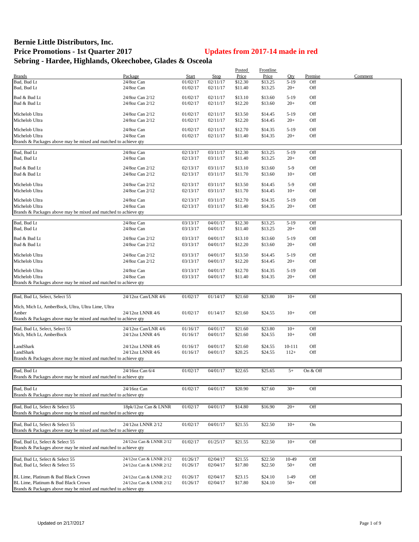## **Bernie Little Distributors, Inc. Price Promotions - 1st Quarter 2017 Updates from 2017-14 made in red Sebring - Hardee, Highlands, Okeechobee, Glades & Osceola**

|                                                                 |                         |              |          | Posted  | Frontline |        |          |         |
|-----------------------------------------------------------------|-------------------------|--------------|----------|---------|-----------|--------|----------|---------|
| <b>Brands</b>                                                   | Package                 | <b>Start</b> | Stop     | Price   | Price     | Oty    | Premise  | Comment |
| Bud, Bud Lt                                                     | 24/8oz Can              | 01/02/17     | 02/11/17 | \$12.30 | \$13.25   | $5-19$ | Off      |         |
| Bud, Bud Lt                                                     | 24/8oz Can              | 01/02/17     | 02/11/17 | \$11.40 | \$13.25   | $20+$  | Off      |         |
|                                                                 |                         |              |          |         |           |        |          |         |
| Bud & Bud Lt                                                    | 24/8oz Can 2/12         | 01/02/17     | 02/11/17 | \$13.10 | \$13.60   | $5-19$ | Off      |         |
| Bud & Bud Lt                                                    | 24/8oz Can 2/12         | 01/02/17     | 02/11/17 | \$12.20 | \$13.60   | $20+$  | Off      |         |
| Michelob Ultra                                                  | 24/8oz Can 2/12         | 01/02/17     | 02/11/17 | \$13.50 | \$14.45   | $5-19$ | Off      |         |
| Michelob Ultra                                                  | 24/8oz Can 2/12         | 01/02/17     | 02/11/17 | \$12.20 | \$14.45   | $20+$  | Off      |         |
|                                                                 |                         |              |          |         |           |        |          |         |
| Michelob Ultra                                                  | 24/8oz Can              | 01/02/17     | 02/11/17 | \$12.70 | \$14.35   | $5-19$ | Off      |         |
| Michelob Ultra                                                  | 24/8oz Can              | 01/02/17     | 02/11/17 | \$11.40 | \$14.35   | $20+$  | Off      |         |
| Brands & Packages above may be mixed and matched to achieve qty |                         |              |          |         |           |        |          |         |
|                                                                 |                         |              |          |         |           |        |          |         |
| Bud, Bud Lt                                                     | 24/8oz Can              | 02/13/17     | 03/11/17 | \$12.30 | \$13.25   | $5-19$ | Off      |         |
| Bud, Bud Lt                                                     | 24/8oz Can              | 02/13/17     | 03/11/17 | \$11.40 | \$13.25   | $20+$  | Off      |         |
| Bud & Bud Lt                                                    | 24/8oz Can 2/12         | 02/13/17     | 03/11/17 | \$13.10 | \$13.60   | $5-9$  | Off      |         |
| Bud & Bud Lt                                                    | 24/8oz Can 2/12         | 02/13/17     | 03/11/17 | \$11.70 | \$13.60   | $10+$  | Off      |         |
|                                                                 |                         |              |          |         |           |        |          |         |
| Michelob Ultra                                                  | 24/8oz Can 2/12         | 02/13/17     | 03/11/17 | \$13.50 | \$14.45   | $5-9$  | Off      |         |
| Michelob Ultra                                                  | 24/8oz Can 2/12         | 02/13/17     | 03/11/17 | \$11.70 | \$14.45   | $10+$  | Off      |         |
|                                                                 |                         |              |          |         |           |        |          |         |
| Michelob Ultra<br>Michelob Ultra                                | 24/8oz Can              | 02/13/17     | 03/11/17 | \$12.70 | \$14.35   | $5-19$ | Off      |         |
|                                                                 | 24/8oz Can              | 02/13/17     | 03/11/17 | \$11.40 | \$14.35   | $20+$  | Off      |         |
| Brands & Packages above may be mixed and matched to achieve qty |                         |              |          |         |           |        |          |         |
| Bud, Bud Lt                                                     | 24/8oz Can              | 03/13/17     | 04/01/17 | \$12.30 | \$13.25   | $5-19$ | Off      |         |
| Bud, Bud Lt                                                     | 24/8oz Can              | 03/13/17     | 04/01/17 | \$11.40 | \$13.25   | $20+$  | Off      |         |
|                                                                 |                         |              |          |         |           |        |          |         |
| Bud & Bud Lt                                                    | 24/8oz Can 2/12         | 03/13/17     | 04/01/17 | \$13.10 | \$13.60   | $5-19$ | Off      |         |
| Bud & Bud Lt                                                    | 24/8oz Can 2/12         | 03/13/17     | 04/01/17 | \$12.20 | \$13.60   | $20+$  | Off      |         |
|                                                                 |                         |              |          |         |           |        |          |         |
| Michelob Ultra                                                  | 24/8oz Can 2/12         | 03/13/17     | 04/01/17 | \$13.50 | \$14.45   | $5-19$ | Off      |         |
| Michelob Ultra                                                  | 24/8oz Can 2/12         | 03/13/17     | 04/01/17 | \$12.20 | \$14.45   | $20+$  | Off      |         |
| Michelob Ultra                                                  | 24/8oz Can              | 03/13/17     | 04/01/17 | \$12.70 | \$14.35   | $5-19$ | Off      |         |
| Michelob Ultra                                                  | 24/8oz Can              | 03/13/17     | 04/01/17 | \$11.40 | \$14.35   | $20+$  | Off      |         |
| Brands & Packages above may be mixed and matched to achieve qty |                         |              |          |         |           |        |          |         |
|                                                                 |                         |              |          |         |           |        |          |         |
|                                                                 |                         |              |          |         |           |        |          |         |
| Bud, Bud Lt, Select, Select 55                                  | 24/12oz Can/LNR 4/6     | 01/02/17     | 01/14/17 | \$21.60 | \$23.80   | $10+$  | Off      |         |
| Mich, Mich Lt, AmberBock, Ultra, Ultra Lime, Ultra              |                         |              |          |         |           |        |          |         |
| Amber                                                           | 24/12oz LNNR 4/6        | 01/02/17     | 01/14/17 | \$21.60 | \$24.55   | $10+$  | Off      |         |
| Brands & Packages above may be mixed and matched to achieve qty |                         |              |          |         |           |        |          |         |
|                                                                 |                         |              |          |         |           |        |          |         |
| Bud, Bud Lt, Select, Select 55                                  | 24/12oz Can/LNR 4/6     | 01/16/17     | 04/01/17 | \$21.60 | \$23.80   | $10+$  | Off      |         |
| Mich, Mich Lt, AmberBock                                        | 24/12oz LNNR 4/6        | 01/16/17     | 04/01/17 | \$21.60 | \$24.55   | $10+$  | Off      |         |
|                                                                 |                         |              |          |         |           |        |          |         |
| LandShark                                                       | 24/12oz LNNR 4/6        | 01/16/17     | 04/01/17 | \$21.60 | \$24.55   | 10-111 | Off      |         |
| LandShark                                                       | 24/12oz LNNR 4/6        | 01/16/17     | 04/01/17 | \$20.25 | \$24.55   | $112+$ | Off      |         |
| Brands & Packages above may be mixed and matched to achieve qty |                         |              |          |         |           |        |          |         |
|                                                                 |                         |              |          |         |           |        |          |         |
| Bud, Bud Lt                                                     | 24/16oz Can 6/4         | 01/02/17     | 04/01/17 | \$22.65 | \$25.65   | $5+$   | On & Off |         |
| Brands & Packages above may be mixed and matched to achieve qty |                         |              |          |         |           |        |          |         |
|                                                                 |                         |              |          |         |           |        |          |         |
| Bud, Bud Lt                                                     | 24/16oz Can             | 01/02/17     | 04/01/17 | \$20.90 | \$27.60   | $30+$  | Off      |         |
| Brands & Packages above may be mixed and matched to achieve gty |                         |              |          |         |           |        |          |         |
|                                                                 |                         |              |          |         |           |        |          |         |
| Bud, Bud Lt, Select & Select 55                                 | 18pk/12oz Can & LNNR    | 01/02/17     | 04/01/17 | \$14.80 | \$16.90   | $20+$  | Off      |         |
| Brands & Packages above may be mixed and matched to achieve qty |                         |              |          |         |           |        |          |         |
|                                                                 |                         |              |          |         |           |        |          |         |
| Bud, Bud Lt, Select & Select 55                                 | 24/12oz LNNR 2/12       | 01/02/17     | 04/01/17 | \$21.55 | \$22.50   | $10+$  | On       |         |
| Brands & Packages above may be mixed and matched to achieve qty |                         |              |          |         |           |        |          |         |
|                                                                 |                         |              |          |         |           |        |          |         |
| Bud, Bud Lt, Select & Select 55                                 | 24/12oz Can & LNNR 2/12 | 01/02/17     | 01/25/17 | \$21.55 | \$22.50   | $10+$  | Off      |         |
| Brands & Packages above may be mixed and matched to achieve qty |                         |              |          |         |           |        |          |         |
|                                                                 |                         |              |          |         |           |        |          |         |
| Bud, Bud Lt, Select & Select 55                                 | 24/12oz Can & LNNR 2/12 | 01/26/17     | 02/04/17 | \$21.55 | \$22.50   | 10-49  | Off      |         |
| Bud, Bud Lt, Select & Select 55                                 | 24/12oz Can & LNNR 2/12 | 01/26/17     | 02/04/17 | \$17.80 | \$22.50   | $50+$  | Off      |         |
|                                                                 |                         |              |          |         |           |        |          |         |
| BL Lime, Platinum & Bud Black Crown                             | 24/12oz Can & LNNR 2/12 | 01/26/17     | 02/04/17 | \$23.15 | \$24.10   | $1-49$ | Off      |         |
| BL Lime, Platinum & Bud Black Crown                             | 24/12oz Can & LNNR 2/12 | 01/26/17     | 02/04/17 | \$17.80 | \$24.10   | $50+$  | Off      |         |
| Brands & Packages above may be mixed and matched to achieve qty |                         |              |          |         |           |        |          |         |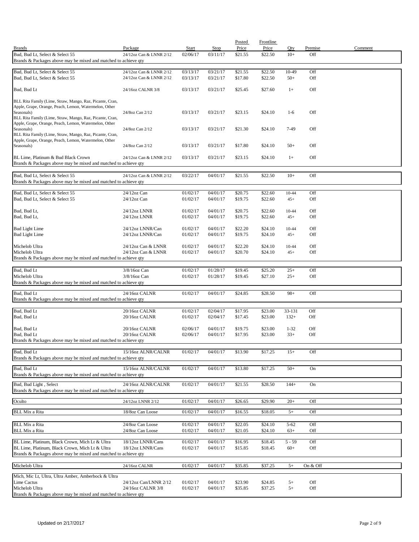|                                                                                                    |                                        |                      |                      | Posted             | <b>Frontline</b>   |                   |            |         |
|----------------------------------------------------------------------------------------------------|----------------------------------------|----------------------|----------------------|--------------------|--------------------|-------------------|------------|---------|
| <b>Brands</b>                                                                                      | Package                                | Start                | Stop                 | Price              | Price              | Oty               | Premise    | Comment |
| Bud, Bud Lt, Select & Select 55<br>Brands & Packages above may be mixed and matched to achieve qty | 24/12oz Can & LNNR 2/12                | 02/06/17             | 03/11/17             | \$21.55            | \$22.50            | $10+$             | Off        |         |
|                                                                                                    |                                        |                      |                      |                    |                    |                   |            |         |
| Bud, Bud Lt, Select & Select 55                                                                    | 24/12oz Can & LNNR 2/12                | 03/13/17             | 03/21/17             | \$21.55            | \$22.50            | $10-49$           | Off        |         |
| Bud, Bud Lt, Select & Select 55                                                                    | 24/12oz Can & LNNR 2/12                | 03/13/17             | 03/21/17             | \$17.80            | \$22.50            | $50+$             | Off        |         |
| Bud, Bud Lt                                                                                        | 24/16oz CALNR 3/8                      | 03/13/17             | 03/21/17             | \$25.45            | \$27.60            | $1+$              | Off        |         |
| BLL Rita Family (Lime, Straw, Mango, Raz, Picante, Cran,                                           |                                        |                      |                      |                    |                    |                   |            |         |
| Apple, Grape, Orange, Peach, Lemon, Watermelon, Other                                              |                                        |                      |                      |                    |                    |                   |            |         |
| Seasonals)<br>BLL Rita Family (Lime, Straw, Mango, Raz, Picante, Cran,                             | 24/8oz Can 2/12                        | 03/13/17             | 03/21/17             | \$23.15            | \$24.10            | $1-6$             | Off        |         |
| Apple, Grape, Orange, Peach, Lemon, Watermelon, Other                                              |                                        |                      |                      |                    |                    |                   |            |         |
| Seasonals)<br>BLL Rita Family (Lime, Straw, Mango, Raz, Picante, Cran,                             | 24/8oz Can 2/12                        | 03/13/17             | 03/21/17             | \$21.30            | \$24.10            | 7-49              | Off        |         |
| Apple, Grape, Orange, Peach, Lemon, Watermelon, Other                                              |                                        |                      |                      |                    |                    |                   |            |         |
| Seasonals)                                                                                         | 24/8oz Can 2/12                        | 03/13/17             | 03/21/17             | \$17.80            | \$24.10            | $50+$             | Off        |         |
| BL Lime, Platinum & Bud Black Crown                                                                | 24/12oz Can & LNNR 2/12                | 03/13/17             | 03/21/17             | \$23.15            | \$24.10            | $1+$              | Off        |         |
| Brands & Packages above may be mixed and matched to achieve qty                                    |                                        |                      |                      |                    |                    |                   |            |         |
|                                                                                                    |                                        |                      |                      |                    |                    |                   |            |         |
| Bud, Bud Lt, Select & Select 55                                                                    | 24/12oz Can & LNNR 2/12                | 03/22/17             | 04/01/17             | \$21.55            | \$22.50            | $10+$             | Off        |         |
| Brands & Packages above may be mixed and matched to achieve qty                                    |                                        |                      |                      |                    |                    |                   |            |         |
| Bud, Bud Lt, Select & Select 55                                                                    | 24/12oz Can                            | 01/02/17             | 04/01/17             | \$20.75            | \$22.60            | 10-44             | Off        |         |
| Bud, Bud Lt, Select & Select 55                                                                    | $24/12$ oz Can                         | 01/02/17             | 04/01/17             | \$19.75            | \$22.60            | $45+$             | Off        |         |
|                                                                                                    | 24/12oz LNNR                           |                      | 04/01/17             | \$20.75            | \$22.60            |                   | Off        |         |
| Bud, Bud Lt,<br>Bud, Bud Lt,                                                                       | 24/12oz LNNR                           | 01/02/17<br>01/02/17 | 04/01/17             | \$19.75            | \$22.60            | 10-44<br>$45+$    | Off        |         |
|                                                                                                    |                                        |                      |                      |                    |                    |                   |            |         |
| <b>Bud Light Lime</b>                                                                              | 24/12oz LNNR/Can                       | 01/02/17             | 04/01/17             | \$22.20            | \$24.10            | 10-44             | Off        |         |
| <b>Bud Light Lime</b>                                                                              | 24/12oz LNNR/Can                       | 01/02/17             | 04/01/17             | \$19.75            | \$24.10            | $45+$             | Off        |         |
| Michelob Ultra                                                                                     | 24/12oz Can & LNNR                     | 01/02/17             | 04/01/17             | \$22.20            | \$24.10            | 10-44             | Off        |         |
| Michelob Ultra                                                                                     | 24/12oz Can & LNNR                     | 01/02/17             | 04/01/17             | \$20.70            | \$24.10            | $45+$             | Off        |         |
| Brands & Packages above may be mixed and matched to achieve qty                                    |                                        |                      |                      |                    |                    |                   |            |         |
| Bud, Bud Lt                                                                                        | 3/8/16oz Can                           | 01/02/17             | 01/28/17             | \$19.45            | \$25.20            | $25+$             | Off        |         |
| Michelob Ultra                                                                                     | $3/8/16$ oz Can                        | 01/02/17             | 01/28/17             | \$19.45            | \$27.10            | $25+$             | Off        |         |
| Brands & Packages above may be mixed and matched to achieve qty                                    |                                        |                      |                      |                    |                    |                   |            |         |
| Bud, Bud Lt                                                                                        | 24/16oz CALNR                          | 01/02/17             | 04/01/17             | \$24.85            | \$28.50            | $98+$             | Off        |         |
| Brands & Packages above may be mixed and matched to achieve qty                                    |                                        |                      |                      |                    |                    |                   |            |         |
|                                                                                                    |                                        |                      |                      |                    |                    |                   |            |         |
| Bud, Bud Lt<br>Bud, Bud Lt                                                                         | 20/16oz CALNR<br>20/16oz CALNR         | 01/02/17<br>01/02/17 | 02/04/17<br>02/04/17 | \$17.95<br>\$17.45 | \$23.00<br>\$23.00 | 33-131<br>$132+$  | Off<br>Off |         |
|                                                                                                    |                                        |                      |                      |                    |                    |                   |            |         |
| Bud, Bud Lt                                                                                        | 20/16oz CALNR                          | 02/06/17             | 04/01/17             | \$19.75            | \$23.00            | $1 - 32$          | Off        |         |
| Bud, Bud Lt<br>Brands & Packages above may be mixed and matched to achieve qty                     | 20/16oz CALNR                          | 02/06/17             | 04/01/17             | \$17.95            | \$23.00            | $33+$             | Off        |         |
|                                                                                                    |                                        |                      |                      |                    |                    |                   |            |         |
| Bud, Bud Lt                                                                                        | 15/16oz ALNR/CALNR                     | 01/02/17             | 04/01/17             | \$13.90            | \$17.25            | $15+$             | Off        |         |
| Brands & Packages above may be mixed and matched to achieve qty                                    |                                        |                      |                      |                    |                    |                   |            |         |
| Bud, Bud Lt                                                                                        | 15/16oz ALNR/CALNR                     | 01/02/17             | 04/01/17             | \$13.80            | \$17.25            | $50+$             | On         |         |
| Brands & Packages above may be mixed and matched to achieve qty                                    |                                        |                      |                      |                    |                    |                   |            |         |
| Bud, Bud Light, Select                                                                             | 24/16oz ALNR/CALNR                     | 01/02/17             | 04/01/17             | \$21.55            | \$28.50            | $144+$            | On         |         |
| Brands & Packages above may be mixed and matched to achieve qty                                    |                                        |                      |                      |                    |                    |                   |            |         |
| Oculto                                                                                             | 24/12oz LNNR 2/12                      | 01/02/17             | 04/01/17             | \$26.65            | \$29.90            | $20+$             | Off        |         |
|                                                                                                    |                                        |                      |                      |                    |                    |                   |            |         |
| <b>BLL Mix a Rita</b>                                                                              | 18/8oz Can Loose                       | 01/02/17             | 04/01/17             | \$16.55            | \$18.05            | $5+$              | Off        |         |
| <b>BLL Mix a Rita</b>                                                                              | 24/8oz Can Loose                       | 01/02/17             | 04/01/17             | \$22.05            | \$24.10            | $5 - 62$          | Off        |         |
| <b>BLL Mix a Rita</b>                                                                              | 24/8oz Can Loose                       | 01/02/17             | 04/01/17             | \$21.05            | \$24.10            | $63+$             | Off        |         |
|                                                                                                    |                                        |                      |                      |                    |                    |                   |            |         |
| BL Lime, Platinum, Black Crown, Mich Lt & Ultra<br>BL Lime, Platinum, Black Crown, Mich Lt & Ultra | 18/12oz LNNR/Cans<br>18/12oz LNNR/Cans | 01/02/17<br>01/02/17 | 04/01/17<br>04/01/17 | \$16.95<br>\$15.85 | \$18.45<br>\$18.45 | $5 - 59$<br>$60+$ | Off<br>Off |         |
| Brands & Packages above may be mixed and matched to achieve qty                                    |                                        |                      |                      |                    |                    |                   |            |         |
|                                                                                                    |                                        |                      |                      |                    |                    |                   |            |         |
| Michelob Ultra                                                                                     | 24/16oz CALNR                          | 01/02/17             | 04/01/17             | \$35.85            | \$37.25            | $5+$              | On & Off   |         |
| Mich, Mic Lt, Ultra, Ultra Amber, Amberbock & Ultra                                                |                                        |                      |                      |                    |                    |                   |            |         |
| Lime Cactus                                                                                        | 24/12oz Can/LNNR 2/12                  | 01/02/17             | 04/01/17             | \$23.90            | \$24.85            | $5+$              | Off        |         |
| Michelob Ultra<br>Brands & Packages above may be mixed and matched to achieve qty                  | 24/16oz CALNR 3/8                      | 01/02/17             | 04/01/17             | \$35.85            | \$37.25            | $5+$              | Off        |         |
|                                                                                                    |                                        |                      |                      |                    |                    |                   |            |         |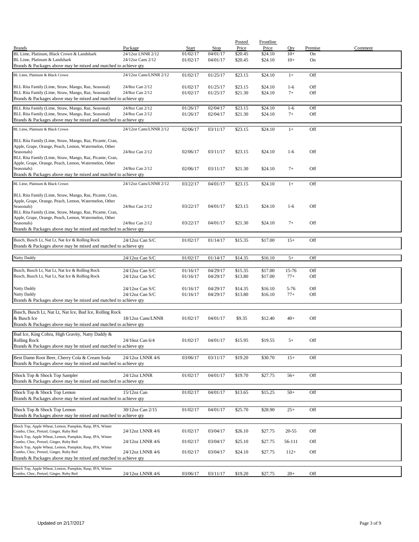|                                                                                                     |                        |          |          | Posted  | Frontline |           |         |         |
|-----------------------------------------------------------------------------------------------------|------------------------|----------|----------|---------|-----------|-----------|---------|---------|
| <b>Brands</b>                                                                                       | Package                | Start    | Stop     | Price   | Price     | Qty       | Premise | Comment |
| BL Lime, Platinum, Black Crown & Landshark                                                          | 24/12oz LNNR 2/12      | 01/02/17 | 04/01/17 | \$20.45 | \$24.10   | $10+$     | On      |         |
| BL Lime, Platinum & Landshark                                                                       | 24/12oz Cans 2/12      | 01/02/17 | 04/01/17 | \$20.45 | \$24.10   | $10+$     | On      |         |
| Brands & Packages above may be mixed and matched to achieve qty                                     |                        |          |          |         |           |           |         |         |
| BL Lime, Platinum & Black Crown                                                                     | 24/12oz Cans/LNNR 2/12 | 01/02/17 | 01/25/17 | \$23.15 | \$24.10   | $1+$      | Off     |         |
|                                                                                                     |                        |          |          |         |           |           |         |         |
| BLL Rita Family (Lime, Straw, Mango, Raz, Seasonal)                                                 | 24/8oz Can 2/12        | 01/02/17 | 01/25/17 | \$23.15 | \$24.10   | $1-6$     | Off     |         |
| BLL Rita Family (Lime, Straw, Mango, Raz, Seasonal)                                                 | 24/8oz Can 2/12        | 01/02/17 | 01/25/17 | \$21.30 | \$24.10   | $7+$      | Off     |         |
| Brands & Packages above may be mixed and matched to achieve qty                                     |                        |          |          |         |           |           |         |         |
|                                                                                                     |                        |          |          |         |           |           |         |         |
| BLL Rita Family (Lime, Straw, Mango, Raz, Seasonal)                                                 | 24/8oz Can 2/12        | 01/26/17 | 02/04/17 | \$23.15 | \$24.10   | $1-6$     | Off     |         |
| BLL Rita Family (Lime, Straw, Mango, Raz, Seasonal)                                                 | 24/8oz Can 2/12        | 01/26/17 | 02/04/17 | \$21.30 | \$24.10   | $7+$      | Off     |         |
| Brands & Packages above may be mixed and matched to achieve qty                                     |                        |          |          |         |           |           |         |         |
| BL Lime, Platinum & Black Crown                                                                     | 24/12oz Cans/LNNR 2/12 | 02/06/17 | 03/11/17 | \$23.15 | \$24.10   | $1+$      | Off     |         |
|                                                                                                     |                        |          |          |         |           |           |         |         |
| BLL Rita Family (Lime, Straw, Mango, Raz, Picante, Cran,                                            |                        |          |          |         |           |           |         |         |
| Apple, Grape, Orange, Peach, Lemon, Watermelon, Other                                               |                        |          |          |         |           |           |         |         |
| Seasonals)                                                                                          | 24/8oz Can 2/12        | 02/06/17 | 03/11/17 | \$23.15 | \$24.10   | $1-6$     | Off     |         |
| BLL Rita Family (Lime, Straw, Mango, Raz, Picante, Cran,                                            |                        |          |          |         |           |           |         |         |
| Apple, Grape, Orange, Peach, Lemon, Watermelon, Other                                               |                        |          |          |         |           |           |         |         |
| Seasonals)                                                                                          | 24/8oz Can 2/12        | 02/06/17 | 03/11/17 | \$21.30 | \$24.10   | $7+$      | Off     |         |
| Brands & Packages above may be mixed and matched to achieve qty                                     |                        |          |          |         |           |           |         |         |
| BL Lime, Platinum & Black Crown                                                                     | 24/12oz Cans/LNNR 2/12 | 03/22/17 | 04/01/17 | \$23.15 | \$24.10   | $1+$      | Off     |         |
|                                                                                                     |                        |          |          |         |           |           |         |         |
| BLL Rita Family (Lime, Straw, Mango, Raz, Picante, Cran,                                            |                        |          |          |         |           |           |         |         |
| Apple, Grape, Orange, Peach, Lemon, Watermelon, Other                                               |                        |          |          |         |           |           |         |         |
| Seasonals)                                                                                          | 24/8oz Can 2/12        | 03/22/17 | 04/01/17 | \$23.15 | \$24.10   | $1-6$     | Off     |         |
| BLL Rita Family (Lime, Straw, Mango, Raz, Picante, Cran,                                            |                        |          |          |         |           |           |         |         |
| Apple, Grape, Orange, Peach, Lemon, Watermelon, Other                                               |                        |          |          |         |           |           |         |         |
| Seasonals)                                                                                          | 24/8oz Can 2/12        | 03/22/17 | 04/01/17 | \$21.30 | \$24.10   | $7+$      | Off     |         |
| Brands & Packages above may be mixed and matched to achieve qty                                     |                        |          |          |         |           |           |         |         |
|                                                                                                     |                        |          |          |         |           |           |         |         |
| Busch, Busch Lt, Nat Lt, Nat Ice & Rolling Rock                                                     | 24/12oz Can S/C        | 01/02/17 | 01/14/17 | \$15.35 | \$17.00   | $15+$     | Off     |         |
| Brands & Packages above may be mixed and matched to achieve qty                                     |                        |          |          |         |           |           |         |         |
|                                                                                                     |                        |          |          |         |           |           |         |         |
| Natty Daddy                                                                                         | 24/12oz Can S/C        | 01/02/17 | 01/14/17 | \$14.35 | \$16.10   | $5+$      | Off     |         |
|                                                                                                     |                        |          |          |         |           |           |         |         |
| Busch, Busch Lt, Nat Lt, Nat Ice & Rolling Rock                                                     | $24/12$ oz Can S/C     | 01/16/17 | 04/29/17 | \$15.35 | \$17.00   | 15-76     | Off     |         |
| Busch, Busch Lt, Nat Lt, Nat Ice & Rolling Rock                                                     | $24/12$ oz Can S/C     | 01/16/17 | 04/29/17 | \$13.80 | \$17.00   | $77+$     | Off     |         |
|                                                                                                     |                        |          |          |         |           |           |         |         |
| Natty Daddy                                                                                         | $24/12$ oz Can S/C     | 01/16/17 | 04/29/17 | \$14.35 | \$16.10   | $5 - 76$  | Off     |         |
| Natty Daddy                                                                                         | 24/12oz Can S/C        | 01/16/17 | 04/29/17 | \$13.80 | \$16.10   | $77+$     | Off     |         |
| Brands & Packages above may be mixed and matched to achieve qty                                     |                        |          |          |         |           |           |         |         |
|                                                                                                     |                        |          |          |         |           |           |         |         |
| Busch, Busch Lt, Nat Lt, Nat Ice, Bud Ice, Rolling Rock                                             |                        |          |          |         |           |           |         |         |
| & Busch Ice                                                                                         | 18/12oz Cans/LNNR      | 01/02/17 | 04/01/17 | \$9.35  | \$12.40   | $40+$     | Off     |         |
| Brands & Packages above may be mixed and matched to achieve qty                                     |                        |          |          |         |           |           |         |         |
| Bud Ice, King Cobra, High Gravity, Natty Daddy &                                                    |                        |          |          |         |           |           |         |         |
| <b>Rolling Rock</b>                                                                                 | 24/16oz Can 6/4        | 01/02/17 | 04/01/17 | \$15.95 | \$19.55   | $5+$      | Off     |         |
| Brands & Packages above may be mixed and matched to achieve gty                                     |                        |          |          |         |           |           |         |         |
|                                                                                                     |                        |          |          |         |           |           |         |         |
| Best Damn Root Beer, Cherry Cola & Cream Soda                                                       | 24/12oz LNNR 4/6       | 03/06/17 | 03/11/17 | \$19.20 | \$30.70   | $15+$     | Off     |         |
| Brands & Packages above may be mixed and matched to achieve qty                                     |                        |          |          |         |           |           |         |         |
|                                                                                                     |                        |          |          |         |           |           |         |         |
| Shock Top & Shock Top Sampler                                                                       | 24/12oz LNNR           | 01/02/17 | 04/01/17 | \$19.70 | \$27.75   | $56+$     | Off     |         |
| Brands & Packages above may be mixed and matched to achieve qty                                     |                        |          |          |         |           |           |         |         |
|                                                                                                     |                        |          |          |         |           |           |         |         |
| Shock Top & Shock Top Lemon                                                                         | 15/12oz Can            | 01/02/17 | 04/01/17 | \$13.65 | \$15.25   | $50+$     | Off     |         |
| Brands & Packages above may be mixed and matched to achieve qty                                     |                        |          |          |         |           |           |         |         |
|                                                                                                     |                        |          |          |         |           |           |         |         |
| Shock Top & Shock Top Lemon                                                                         | 30/12oz Can 2/15       | 01/02/17 | 04/01/17 | \$25.70 | \$28.90   | $25+$     | Off     |         |
| Brands & Packages above may be mixed and matched to achieve qty                                     |                        |          |          |         |           |           |         |         |
|                                                                                                     |                        |          |          |         |           |           |         |         |
| Shock Top, Apple Wheat, Lemon, Pumpkin, Rasp, IPA, Winter<br>Combo, Choc, Pretzel, Ginger, Ruby Red | 24/12oz LNNR 4/6       | 01/02/17 | 03/04/17 | \$26.10 | \$27.75   | $20 - 55$ | Off     |         |
| Shock Top, Apple Wheat, Lemon, Pumpkin, Rasp, IPA, Winter                                           |                        |          |          |         |           |           |         |         |
| Combo, Choc, Pretzel, Ginger, Ruby Red                                                              | 24/12oz LNNR 4/6       | 01/02/17 | 03/04/17 | \$25.10 | \$27.75   | 56-111    | Off     |         |
| Shock Top, Apple Wheat, Lemon, Pumpkin, Rasp, IPA, Winter                                           |                        |          |          |         |           |           |         |         |
| Combo, Choc, Pretzel, Ginger, Ruby Red                                                              | 24/12oz LNNR 4/6       | 01/02/17 | 03/04/17 | \$24.10 | \$27.75   | $112+$    | Off     |         |
| Brands & Packages above may be mixed and matched to achieve qty                                     |                        |          |          |         |           |           |         |         |
|                                                                                                     |                        |          |          |         |           |           |         |         |
| Shock Top, Apple Wheat, Lemon, Pumpkin, Rasp, IPA, Winter                                           | 24/12oz LNNR 4/6       | 03/06/17 | 03/11/17 | \$19.20 |           | $20+$     | Off     |         |
| Combo, Choc, Pretzel, Ginger, Ruby Red                                                              |                        |          |          |         | \$27.75   |           |         |         |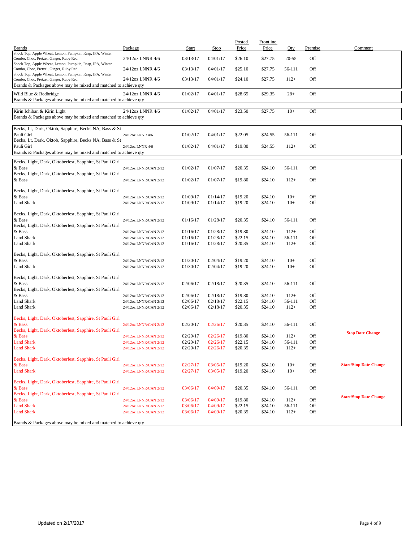| <b>Brands</b>                                                                                             | Package                                        | <b>Start</b>         | <b>Stop</b>          | Posted<br>Price    | Frontline<br>Price | Qty              | Premise    | Comment                       |
|-----------------------------------------------------------------------------------------------------------|------------------------------------------------|----------------------|----------------------|--------------------|--------------------|------------------|------------|-------------------------------|
| Shock Top, Apple Wheat, Lemon, Pumpkin, Rasp, IPA, Winter                                                 |                                                |                      |                      |                    |                    |                  |            |                               |
| Combo, Choc, Pretzel, Ginger, Ruby Red<br>Shock Top, Apple Wheat, Lemon, Pumpkin, Rasp, IPA, Winter       | 24/12oz LNNR 4/6                               | 03/13/17             | 04/01/17             | \$26.10            | \$27.75            | $20 - 55$        | Off        |                               |
| Combo, Choc, Pretzel, Ginger, Ruby Red<br>Shock Top, Apple Wheat, Lemon, Pumpkin, Rasp, IPA, Winter       | 24/12oz LNNR 4/6                               | 03/13/17             | 04/01/17             | \$25.10            | \$27.75            | 56-111           | Off        |                               |
| Combo, Choc, Pretzel, Ginger, Ruby Red<br>Brands & Packages above may be mixed and matched to achieve qty | 24/12oz LNNR 4/6                               | 03/13/17             | 04/01/17             | \$24.10            | \$27.75            | $112+$           | Off        |                               |
| Wild Blue & Redbridge<br>Brands & Packages above may be mixed and matched to achieve qty                  | 24/12oz LNNR 4/6                               | 01/02/17             | 04/01/17             | \$28.65            | \$29.35            | $28+$            | Off        |                               |
|                                                                                                           |                                                |                      |                      |                    |                    |                  |            |                               |
| Kirin Ichiban & Kirin Light<br>Brands & Packages above may be mixed and matched to achieve qty            | 24/12oz LNNR 4/6                               | 01/02/17             | 04/01/17             | \$23.50            | \$27.75            | $10+$            | Off        |                               |
| Becks, Lt, Dark, Oktob, Sapphire, Becks NA, Bass & St                                                     |                                                |                      |                      |                    |                    |                  |            |                               |
| Pauli Girl                                                                                                | 24/12oz LNNR 4/6                               | 01/02/17             | 04/01/17             | \$22.05            | \$24.55            | 56-111           | Off        |                               |
| Becks, Lt, Dark, Oktob, Sapphire, Becks NA, Bass & St<br>Pauli Girl                                       |                                                | 01/02/17             | 04/01/17             | \$19.80            | \$24.55            | $112+$           | Off        |                               |
| Brands & Packages above may be mixed and matched to achieve qty                                           | 24/12oz LNNR 4/6                               |                      |                      |                    |                    |                  |            |                               |
|                                                                                                           |                                                |                      |                      |                    |                    |                  |            |                               |
| Becks, Light, Dark, Oktoberfest, Sapphire, St Pauli Girl<br>& Bass                                        | 24/12oz LNNR/CAN 2/12                          | 01/02/17             | 01/07/17             | \$20.35            | \$24.10            | 56-111           | Off        |                               |
| Becks, Light, Dark, Oktoberfest, Sapphire, St Pauli Girl                                                  |                                                |                      |                      |                    |                    |                  |            |                               |
| & Bass                                                                                                    | 24/12oz LNNR/CAN 2/12                          | 01/02/17             | 01/07/17             | \$19.80            | \$24.10            | $112+$           | Off        |                               |
| Becks, Light, Dark, Oktoberfest, Sapphire, St Pauli Girl                                                  |                                                |                      |                      |                    |                    |                  |            |                               |
| & Bass                                                                                                    | 24/12oz LNNR/CAN 2/12                          | 01/09/17             | 01/14/17             | \$19.20            | \$24.10            | $10+$            | Off        |                               |
| <b>Land Shark</b>                                                                                         | 24/12oz LNNR/CAN 2/12                          | 01/09/17             | 01/14/17             | \$19.20            | \$24.10            | $10+$            | Off        |                               |
| Becks, Light, Dark, Oktoberfest, Sapphire, St Pauli Girl                                                  |                                                |                      |                      |                    |                    |                  |            |                               |
| & Bass                                                                                                    | 24/12oz LNNR/CAN 2/12                          | 01/16/17             | 01/28/17             | \$20.35            | \$24.10            | 56-111           | Off        |                               |
| Becks, Light, Dark, Oktoberfest, Sapphire, St Pauli Girl                                                  |                                                |                      |                      |                    |                    |                  |            |                               |
| & Bass                                                                                                    | 24/12oz LNNR/CAN 2/12                          | 01/16/17             | 01/28/17             | \$19.80            | \$24.10            | $112+$           | Off        |                               |
| <b>Land Shark</b><br><b>Land Shark</b>                                                                    | 24/12oz LNNR/CAN 2/12<br>24/12oz LNNR/CAN 2/12 | 01/16/17<br>01/16/17 | 01/28/17<br>01/28/17 | \$22.15<br>\$20.35 | \$24.10<br>\$24.10 | 56-111<br>$112+$ | Off<br>Off |                               |
|                                                                                                           |                                                |                      |                      |                    |                    |                  |            |                               |
| Becks, Light, Dark, Oktoberfest, Sapphire, St Pauli Girl                                                  |                                                |                      |                      |                    |                    |                  |            |                               |
| & Bass                                                                                                    | 24/12oz LNNR/CAN 2/12                          | 01/30/17             | 02/04/17             | \$19.20            | \$24.10            | $10+$            | Off        |                               |
| Land Shark                                                                                                | 24/12oz LNNR/CAN 2/12                          | 01/30/17             | 02/04/17             | \$19.20            | \$24.10            | $10+$            | Off        |                               |
| Becks, Light, Dark, Oktoberfest, Sapphire, St Pauli Girl                                                  |                                                |                      |                      |                    |                    |                  |            |                               |
| & Bass                                                                                                    | 24/12oz LNNR/CAN 2/12                          | 02/06/17             | 02/18/17             | \$20.35            | \$24.10            | 56-111           | Off        |                               |
| Becks, Light, Dark, Oktoberfest, Sapphire, St Pauli Girl                                                  |                                                |                      |                      |                    |                    |                  |            |                               |
| & Bass<br><b>Land Shark</b>                                                                               | 24/12oz LNNR/CAN 2/12                          | 02/06/17<br>02/06/17 | 02/18/17<br>02/18/17 | \$19.80<br>\$22.15 | \$24.10<br>\$24.10 | $112+$<br>56-111 | Off<br>Off |                               |
| Land Shark                                                                                                | 24/12oz LNNR/CAN 2/12<br>24/12oz LNNR/CAN 2/12 | 02/06/17             | 02/18/17             | \$20.35            | \$24.10            | $112+$           | Off        |                               |
|                                                                                                           |                                                |                      |                      |                    |                    |                  |            |                               |
| Becks, Light, Dark, Oktoberfest, Sapphire, St Pauli Girl                                                  |                                                |                      |                      |                    |                    |                  |            |                               |
| & Bass<br>Becks, Light, Dark, Oktoberfest, Sapphire, St Pauli Girl                                        | 24/12oz LNNR/CAN 2/12                          | 02/20/17             | 02/26/17             | \$20.35            | \$24.10            | 56-111           | Off        |                               |
| & Bass                                                                                                    | 24/12oz LNNR/CAN 2/12                          | 02/20/17             | 02/26/17             | \$19.80            | \$24.10            | $112+$           | Off        | <b>Stop Date Change</b>       |
| <b>Land Shark</b>                                                                                         | 24/12oz LNNR/CAN 2/12                          | 02/20/17             | 02/26/17             | \$22.15            | \$24.10            | 56-111           | Off        |                               |
| <b>Land Shark</b>                                                                                         | 24/12oz LNNR/CAN 2/12                          | 02/20/17             | 02/26/17             | \$20.35            | \$24.10            | $112+$           | Off        |                               |
| Becks, Light, Dark, Oktoberfest, Sapphire, St Pauli Girl                                                  |                                                |                      |                      |                    |                    |                  |            |                               |
| & Bass                                                                                                    | 24/12oz LNNR/CAN 2/12                          | 02/27/17             | 03/05/17             | \$19.20            | \$24.10            | $10+$            | Off        | <b>Start/Stop Date Change</b> |
| <b>Land Shark</b>                                                                                         | 24/12oz LNNR/CAN 2/12                          | 02/27/17             | 03/05/17             | \$19.20            | \$24.10            | $10+$            | Off        |                               |
|                                                                                                           |                                                |                      |                      |                    |                    |                  |            |                               |
| Becks, Light, Dark, Oktoberfest, Sapphire, St Pauli Girl                                                  |                                                |                      |                      |                    |                    |                  |            |                               |
| & Bass<br>Becks, Light, Dark, Oktoberfest, Sapphire, St Pauli Girl                                        | 24/12oz LNNR/CAN 2/12                          | 03/06/17             | 04/09/17             | \$20.35            | \$24.10            | 56-111           | Off        |                               |
| & Bass                                                                                                    | 24/12oz LNNR/CAN 2/12                          | 03/06/17             | 04/09/17             | \$19.80            | \$24.10            | $112+$           | Off        | <b>Start/Stop Date Change</b> |
| <b>Land Shark</b>                                                                                         | 24/12oz LNNR/CAN 2/12                          | 03/06/17             | 04/09/17             | \$22.15            | \$24.10            | 56-111           | Off        |                               |
| <b>Land Shark</b>                                                                                         | 24/12oz LNNR/CAN 2/12                          | 03/06/17             | 04/09/17             | \$20.35            | \$24.10            | $112+$           | Off        |                               |
| Brands & Packages above may be mixed and matched to achieve qty                                           |                                                |                      |                      |                    |                    |                  |            |                               |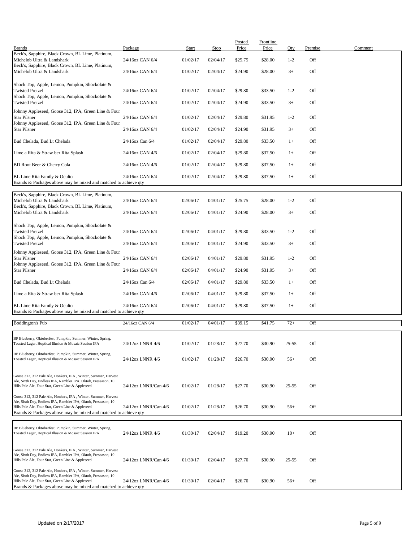| <b>Brands</b>                                                                                                                                                                                                                                            | Package              | Start    | <b>Stop</b> | Posted<br>Price | <b>Frontline</b><br>Price | Qty       | Premise | Comment |
|----------------------------------------------------------------------------------------------------------------------------------------------------------------------------------------------------------------------------------------------------------|----------------------|----------|-------------|-----------------|---------------------------|-----------|---------|---------|
| Beck's, Sapphire, Black Crown, BL Lime, Platinum,<br>Michelob Ultra & Landshark                                                                                                                                                                          | 24/16oz CAN 6/4      | 01/02/17 | 02/04/17    | \$25.75         | \$28.00                   | $1 - 2$   | Off     |         |
| Beck's, Sapphire, Black Crown, BL Lime, Platinum,<br>Michelob Ultra & Landshark                                                                                                                                                                          | 24/16oz CAN 6/4      | 01/02/17 | 02/04/17    | \$24.90         | \$28.00                   | $3+$      | Off     |         |
| Shock Top, Apple, Lemon, Pumpkin, Shockolate &                                                                                                                                                                                                           |                      |          |             |                 |                           |           |         |         |
| <b>Twisted Pretzel</b><br>Shock Top, Apple, Lemon, Pumpkin, Shockolate &                                                                                                                                                                                 | 24/16oz CAN 6/4      | 01/02/17 | 02/04/17    | \$29.80         | \$33.50                   | $1 - 2$   | Off     |         |
| <b>Twisted Pretzel</b><br>Johnny Appleseed, Goose 312, IPA, Green Line & Four                                                                                                                                                                            | 24/16oz CAN 6/4      | 01/02/17 | 02/04/17    | \$24.90         | \$33.50                   | $3+$      | Off     |         |
| <b>Star Pilsner</b><br>Johnny Appleseed, Goose 312, IPA, Green Line & Four                                                                                                                                                                               | 24/16oz CAN 6/4      | 01/02/17 | 02/04/17    | \$29.80         | \$31.95                   | $1 - 2$   | Off     |         |
| <b>Star Pilsner</b>                                                                                                                                                                                                                                      | 24/16oz CAN 6/4      | 01/02/17 | 02/04/17    | \$24.90         | \$31.95                   | $3+$      | Off     |         |
| Bud Chelada, Bud Lt Chelada                                                                                                                                                                                                                              | 24/16oz Can 6/4      | 01/02/17 | 02/04/17    | \$29.80         | \$33.50                   | $1+$      | Off     |         |
| Lime a Rita & Straw ber Rita Splash                                                                                                                                                                                                                      | 24/16oz CAN 4/6      | 01/02/17 | 02/04/17    | \$29.80         | \$37.50                   | $1+$      | Off     |         |
| BD Root Beer & Cherry Cola                                                                                                                                                                                                                               | 24/16oz CAN 4/6      | 01/02/17 | 02/04/17    | \$29.80         | \$37.50                   | $1+$      | Off     |         |
| BL Lime Rita Family & Oculto<br>Brands & Packages above may be mixed and matched to achieve qty                                                                                                                                                          | 24/16oz CAN 6/4      | 01/02/17 | 02/04/17    | \$29.80         | \$37.50                   | $1+$      | Off     |         |
| Beck's, Sapphire, Black Crown, BL Lime, Platinum,                                                                                                                                                                                                        |                      |          |             |                 |                           |           |         |         |
| Michelob Ultra & Landshark<br>Beck's, Sapphire, Black Crown, BL Lime, Platinum,                                                                                                                                                                          | 24/16oz CAN 6/4      | 02/06/17 | 04/01/17    | \$25.75         | \$28.00                   | $1 - 2$   | Off     |         |
| Michelob Ultra & Landshark                                                                                                                                                                                                                               | 24/16oz CAN 6/4      | 02/06/17 | 04/01/17    | \$24.90         | \$28.00                   | $3+$      | Off     |         |
| Shock Top, Apple, Lemon, Pumpkin, Shockolate &<br><b>Twisted Pretzel</b>                                                                                                                                                                                 | 24/16oz CAN 6/4      | 02/06/17 | 04/01/17    | \$29.80         | \$33.50                   | $1 - 2$   | Off     |         |
| Shock Top, Apple, Lemon, Pumpkin, Shockolate &<br><b>Twisted Pretzel</b>                                                                                                                                                                                 | 24/16oz CAN 6/4      | 02/06/17 | 04/01/17    | \$24.90         | \$33.50                   | $3+$      | Off     |         |
| Johnny Appleseed, Goose 312, IPA, Green Line & Four                                                                                                                                                                                                      |                      |          |             |                 |                           |           |         |         |
| <b>Star Pilsner</b><br>Johnny Appleseed, Goose 312, IPA, Green Line & Four                                                                                                                                                                               | 24/16oz CAN 6/4      | 02/06/17 | 04/01/17    | \$29.80         | \$31.95                   | $1 - 2$   | Off     |         |
| <b>Star Pilsner</b>                                                                                                                                                                                                                                      | 24/16oz CAN 6/4      | 02/06/17 | 04/01/17    | \$24.90         | \$31.95                   | $3+$      | Off     |         |
| Bud Chelada, Bud Lt Chelada                                                                                                                                                                                                                              | 24/16oz Can 6/4      | 02/06/17 | 04/01/17    | \$29.80         | \$33.50                   | $1+$      | Off     |         |
| Lime a Rita & Straw ber Rita Splash                                                                                                                                                                                                                      | 24/16oz CAN 4/6      | 02/06/17 | 04/01/17    | \$29.80         | \$37.50                   | $1+$      | Off     |         |
| BL Lime Rita Family & Oculto<br>Brands & Packages above may be mixed and matched to achieve qty                                                                                                                                                          | 24/16oz CAN 6/4      | 02/06/17 | 04/01/17    | \$29.80         | \$37.50                   | $1+$      | Off     |         |
| <b>Boddington's Pub</b>                                                                                                                                                                                                                                  | 24/16oz CAN 6/4      | 01/02/17 | 04/01/17    | \$39.15         | \$41.75                   | $72+$     | Off     |         |
| BP Blueberry, Oktoberfest, Pumpkin, Summer, Winter, Spring,                                                                                                                                                                                              |                      |          |             |                 |                           |           |         |         |
| Toasted Lager, Hoptical Illusion & Mosaic Session IPA                                                                                                                                                                                                    | 24/12oz LNNR 4/6     | 01/02/17 | 01/28/17    | \$27.70         | \$30.90                   | $25 - 55$ | Off     |         |
| BP Blueberry, Oktoberfest, Pumpkin, Summer, Winter, Spring,<br>Toasted Lager, Hoptical Illusion & Mosaic Session IPA                                                                                                                                     | 24/12oz LNNR 4/6     | 01/02/17 | 01/28/17    | \$26.70         | \$30.90                   | $56+$     | Off     |         |
| Goose 312, 312 Pale Ale, Honkers, IPA, Winter, Summer, Harvest                                                                                                                                                                                           |                      |          |             |                 |                           |           |         |         |
| Ale, Sixth Day, Endless IPA, Rambler IPA, Oktob, Preseason, 10<br>Hills Pale Ale, Four Star, Green Line & Appleseed                                                                                                                                      | 24/12oz LNNR/Can 4/6 | 01/02/17 | 01/28/17    | \$27.70         | \$30.90                   | $25 - 55$ | Off     |         |
| Goose 312, 312 Pale Ale, Honkers, IPA, Winter, Summer, Harvest<br>Ale, Sixth Day, Endless IPA, Rambler IPA, Oktob, Preseason, 10<br>Hills Pale Ale, Four Star, Green Line & Appleseed                                                                    | 24/12oz LNNR/Can 4/6 | 01/02/17 | 01/28/17    | \$26.70         | \$30.90                   | $56+$     | Off     |         |
| Brands & Packages above may be mixed and matched to achieve qty                                                                                                                                                                                          |                      |          |             |                 |                           |           |         |         |
| BP Blueberry, Oktoberfest, Pumpkin, Summer, Winter, Spring,<br>Toasted Lager, Hoptical Illusion & Mosaic Session IPA                                                                                                                                     | 24/12oz LNNR 4/6     | 01/30/17 | 02/04/17    | \$19.20         | \$30.90                   | $10+$     | Off     |         |
| Goose 312, 312 Pale Ale, Honkers, IPA, Winter, Summer, Harvest<br>Ale, Sixth Day, Endless IPA, Rambler IPA, Oktob, Preseason, 10<br>Hills Pale Ale, Four Star, Green Line & Appleseed                                                                    | 24/12oz LNNR/Can 4/6 | 01/30/17 | 02/04/17    | \$27.70         | \$30.90                   | $25 - 55$ | Off     |         |
| Goose 312, 312 Pale Ale, Honkers, IPA, Winter, Summer, Harvest<br>Ale, Sixth Day, Endless IPA, Rambler IPA, Oktob, Preseason, 10<br>Hills Pale Ale, Four Star, Green Line & Appleseed<br>Brands & Packages above may be mixed and matched to achieve qty | 24/12oz LNNR/Can 4/6 | 01/30/17 | 02/04/17    | \$26.70         | \$30.90                   | $56+$     | Off     |         |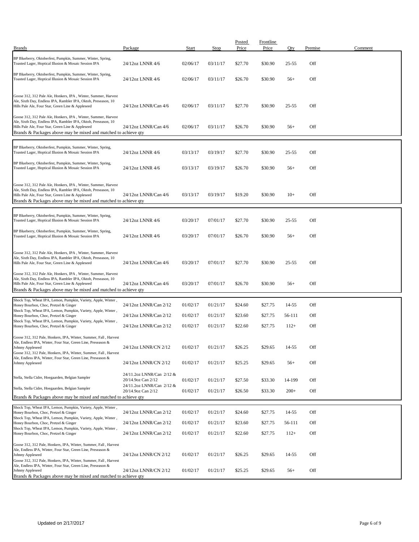| <b>Brands</b>                                                                                                                                                                                                                                            | Package                                         | Start    | Stop     | Posted<br>Price | <b>Frontline</b><br>Price | Oty       | Premise | Comment |
|----------------------------------------------------------------------------------------------------------------------------------------------------------------------------------------------------------------------------------------------------------|-------------------------------------------------|----------|----------|-----------------|---------------------------|-----------|---------|---------|
| BP Blueberry, Oktoberfest, Pumpkin, Summer, Winter, Spring,<br>Toasted Lager, Hoptical Illusion & Mosaic Session IPA                                                                                                                                     | 24/12oz LNNR 4/6                                | 02/06/17 | 03/11/17 | \$27.70         | \$30.90                   | $25 - 55$ | Off     |         |
| BP Blueberry, Oktoberfest, Pumpkin, Summer, Winter, Spring,<br>Toasted Lager, Hoptical Illusion & Mosaic Session IPA                                                                                                                                     | 24/12oz LNNR 4/6                                | 02/06/17 | 03/11/17 | \$26.70         | \$30.90                   | $56+$     | Off     |         |
| Goose 312, 312 Pale Ale, Honkers, IPA, Winter, Summer, Harvest<br>Ale, Sixth Day, Endless IPA, Rambler IPA, Oktob, Preseason, 10<br>Hills Pale Ale, Four Star, Green Line & Appleseed                                                                    | 24/12oz LNNR/Can 4/6                            | 02/06/17 | 03/11/17 | \$27.70         | \$30.90                   | $25 - 55$ | Off     |         |
| Goose 312, 312 Pale Ale, Honkers, IPA, Winter, Summer, Harvest<br>Ale, Sixth Day, Endless IPA, Rambler IPA, Oktob, Preseason, 10<br>Hills Pale Ale, Four Star, Green Line & Appleseed<br>Brands & Packages above may be mixed and matched to achieve qty | 24/12oz LNNR/Can 4/6                            | 02/06/17 | 03/11/17 | \$26.70         | \$30.90                   | $56+$     | Off     |         |
| BP Blueberry, Oktoberfest, Pumpkin, Summer, Winter, Spring,<br>Toasted Lager, Hoptical Illusion & Mosaic Session IPA                                                                                                                                     | 24/12oz LNNR 4/6                                | 03/13/17 | 03/19/17 | \$27.70         | \$30.90                   | $25 - 55$ | Off     |         |
| BP Blueberry, Oktoberfest, Pumpkin, Summer, Winter, Spring,<br>Toasted Lager, Hoptical Illusion & Mosaic Session IPA                                                                                                                                     | 24/12oz LNNR 4/6                                | 03/13/17 | 03/19/17 | \$26.70         | \$30.90                   | $56+$     | Off     |         |
| Goose 312, 312 Pale Ale, Honkers, IPA, Winter, Summer, Harvest<br>Ale, Sixth Day, Endless IPA, Rambler IPA, Oktob, Preseason, 10<br>Hills Pale Ale, Four Star, Green Line & Appleseed<br>Brands & Packages above may be mixed and matched to achieve qty | 24/12oz LNNR/Can 4/6                            | 03/13/17 | 03/19/17 | \$19.20         | \$30.90                   | $10+$     | Off     |         |
| BP Blueberry, Oktoberfest, Pumpkin, Summer, Winter, Spring,<br>Toasted Lager, Hoptical Illusion & Mosaic Session IPA                                                                                                                                     | 24/12oz LNNR 4/6                                | 03/20/17 | 07/01/17 | \$27.70         | \$30.90                   | $25 - 55$ | Off     |         |
| BP Blueberry, Oktoberfest, Pumpkin, Summer, Winter, Spring,<br>Toasted Lager, Hoptical Illusion & Mosaic Session IPA                                                                                                                                     | 24/12oz LNNR 4/6                                | 03/20/17 | 07/01/17 | \$26.70         | \$30.90                   | $56+$     | Off     |         |
| Goose 312, 312 Pale Ale, Honkers, IPA, Winter, Summer, Harvest<br>Ale, Sixth Day, Endless IPA, Rambler IPA, Oktob, Preseason, 10<br>Hills Pale Ale, Four Star, Green Line & Appleseed                                                                    | 24/12oz LNNR/Can 4/6                            | 03/20/17 | 07/01/17 | \$27.70         | \$30.90                   | $25 - 55$ | Off     |         |
| Goose 312, 312 Pale Ale, Honkers, IPA, Winter, Summer, Harvest<br>Ale, Sixth Day, Endless IPA, Rambler IPA, Oktob, Preseason, 10<br>Hills Pale Ale, Four Star, Green Line & Appleseed<br>Brands & Packages above may be mixed and matched to achieve qty | 24/12oz LNNR/Can 4/6                            | 03/20/17 | 07/01/17 | \$26.70         | \$30.90                   | $56+$     | Off     |         |
| Shock Top, Wheat IPA, Lemon, Pumpkin, Variety, Apple, Winter,<br>Honey Bourbon, Choc, Pretzel & Ginger                                                                                                                                                   | 24/12oz LNNR/Can 2/12                           | 01/02/17 | 01/21/17 | \$24.60         | \$27.75                   | 14-55     | Off     |         |
| Shock Top, Wheat IPA, Lemon, Pumpkin, Variety, Apple, Winter,<br>Honey Bourbon, Choc, Pretzel & Ginger                                                                                                                                                   | 24/12oz LNNR/Can 2/12                           | 01/02/17 | 01/21/17 | \$23.60         | \$27.75                   | 56-111    | Off     |         |
| Shock Top, Wheat IPA, Lemon, Pumpkin, Variety, Apple, Winter,<br>Honey Bourbon, Choc, Pretzel & Ginger                                                                                                                                                   | 24/12oz LNNR/Can 2/12                           | 01/02/17 | 01/21/17 | \$22.60         | \$27.75                   | $112+$    | Off     |         |
| Goose 312, 312 Pale, Honkers, IPA, Winter, Summer, Fall, Harvest<br>Ale, Endless IPA, Winter, Four Star, Green Line, Preseason &<br>Johnny Appleseed<br>Goose 312, 312 Pale, Honkers, IPA, Winter, Summer, Fall, Harvest                                 | 24/12oz LNNR/CN 2/12                            | 01/02/17 | 01/21/17 | \$26.25         | \$29.65                   | 14-55     | Off     |         |
| Ale, Endless IPA, Winter, Four Star, Green Line, Preseason &<br>Johnny Appleseed                                                                                                                                                                         | 24/12oz LNNR/CN 2/12                            | 01/02/17 | 01/21/17 | \$25.25         | \$29.65                   | $56+$     | Off     |         |
| Stella, Stella Cidre, Hoegaarden, Belgian Sampler                                                                                                                                                                                                        | 24/11.2oz LNNR/Can 2/12 &<br>20/14.9oz Can 2/12 | 01/02/17 | 01/21/17 | \$27.50         | \$33.30                   | 14-199    | Off     |         |
| Stella, Stella Cidre, Hoegaarden, Belgian Sampler                                                                                                                                                                                                        | 24/11.2oz LNNR/Can 2/12 &<br>20/14.9oz Can 2/12 | 01/02/17 | 01/21/17 | \$26.50         | \$33.30                   | $200+$    | Off     |         |
| Brands & Packages above may be mixed and matched to achieve qty                                                                                                                                                                                          |                                                 |          |          |                 |                           |           |         |         |
| Shock Top, Wheat IPA, Lemon, Pumpkin, Variety, Apple, Winter,<br>Honey Bourbon, Choc, Pretzel & Ginger                                                                                                                                                   | 24/12oz LNNR/Can 2/12                           | 01/02/17 | 01/21/17 | \$24.60         | \$27.75                   | 14-55     | Off     |         |
| Shock Top, Wheat IPA, Lemon, Pumpkin, Variety, Apple, Winter,<br>Honey Bourbon, Choc, Pretzel & Ginger<br>Shock Top, Wheat IPA, Lemon, Pumpkin, Variety, Apple, Winter,                                                                                  | 24/12oz LNNR/Can 2/12                           | 01/02/17 | 01/21/17 | \$23.60         | \$27.75                   | 56-111    | Off     |         |
| Honey Bourbon, Choc, Pretzel & Ginger                                                                                                                                                                                                                    | 24/12oz LNNR/Can 2/12                           | 01/02/17 | 01/21/17 | \$22.60         | \$27.75                   | $112+$    | Off     |         |
| Goose 312, 312 Pale, Honkers, IPA, Winter, Summer, Fall, Harvest<br>Ale, Endless IPA, Winter, Four Star, Green Line, Preseason &<br>Johnny Appleseed<br>Goose 312, 312 Pale, Honkers, IPA, Winter, Summer, Fall, Harvest                                 | 24/12oz LNNR/CN 2/12                            | 01/02/17 | 01/21/17 | \$26.25         | \$29.65                   | 14-55     | Off     |         |
| Ale, Endless IPA, Winter, Four Star, Green Line, Preseason &<br>Johnny Appleseed<br>Brands & Packages above may be mixed and matched to achieve qty                                                                                                      | 24/12oz LNNR/CN 2/12                            | 01/02/17 | 01/21/17 | \$25.25         | \$29.65                   | $56+$     | Off     |         |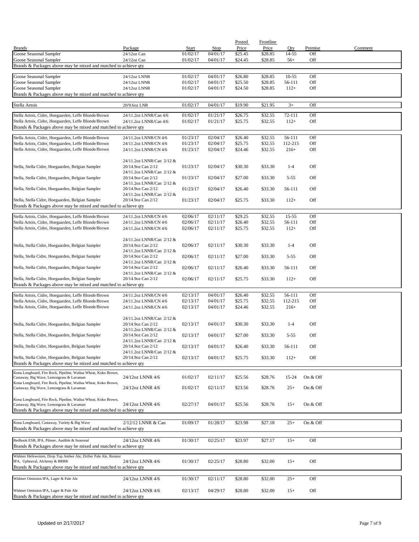|                                                                                                            |                                                 |                      |                      | Posted             | <b>Frontline</b>   |                     |                |         |
|------------------------------------------------------------------------------------------------------------|-------------------------------------------------|----------------------|----------------------|--------------------|--------------------|---------------------|----------------|---------|
| <b>Brands</b><br>Goose Seasonal Sampler                                                                    | Package<br>24/12oz Can                          | Start<br>01/02/17    | Stop<br>04/01/17     | Price<br>\$25.45   | Price<br>\$28.85   | Qty<br>14-55        | Premise<br>Off | Comment |
| Goose Seasonal Sampler                                                                                     | 24/12oz Can                                     | 01/02/17             | 04/01/17             | \$24.45            | \$28.85            | $56+$               | Off            |         |
| Brands & Packages above may be mixed and matched to achieve qty                                            |                                                 |                      |                      |                    |                    |                     |                |         |
|                                                                                                            |                                                 |                      |                      |                    |                    |                     |                |         |
| Goose Seasonal Sampler                                                                                     | 24/12oz LNNR                                    | 01/02/17             | 04/01/17             | \$26.80            | \$28.85            | $10 - 55$           | Off            |         |
| Goose Seasonal Sampler<br>Goose Seasonal Sampler                                                           | 24/12oz LNNR<br>24/12oz LNNR                    | 01/02/17<br>01/02/17 | 04/01/17<br>04/01/17 | \$25.50<br>\$24.50 | \$28.85<br>\$28.85 | 56-111<br>$112+$    | Off<br>Off     |         |
| Brands & Packages above may be mixed and matched to achieve qty                                            |                                                 |                      |                      |                    |                    |                     |                |         |
|                                                                                                            |                                                 |                      |                      |                    |                    |                     |                |         |
| Stella Artois                                                                                              | 20/9.6oz LNR                                    | 01/02/17             | 04/01/17             | \$19.90            | \$21.95            | $3+$                | Off            |         |
| Stella Artois, Cidre, Hoegaarden, Leffe Blonde/Brown                                                       | 24/11.2oz LNNR/Can 4/6                          | 01/02/17             | 01/21/17             | \$26.75            | \$32.55            | 72-111              | Off            |         |
| Stella Artois, Cidre, Hoegaarden, Leffe Blonde/Brown                                                       | 24/11.2oz LNNR/Can 4/6                          | 01/02/17             | 01/21/17             | \$25.75            | \$32.55            | $112+$              | Off            |         |
| Brands & Packages above may be mixed and matched to achieve qty                                            |                                                 |                      |                      |                    |                    |                     |                |         |
| Stella Artois, Cidre, Hoegaarden, Leffe Blonde/Brown                                                       | 24/11.2oz LNNR/CN 4/6                           | 01/23/17             | 02/04/17             | \$26.40            | \$32.55            | 56-111              | Off            |         |
| Stella Artois, Cidre, Hoegaarden, Leffe Blonde/Brown                                                       | 24/11.2oz LNNR/CN 4/6                           | 01/23/17             | 02/04/17             | \$25.75            | \$32.55            | 112-215             | Off            |         |
| Stella Artois, Cidre, Hoegaarden, Leffe Blonde/Brown                                                       | 24/11.2oz LNNR/CN 4/6                           | 01/23/17             | 02/04/17             | \$24.46            | \$32.55            | $216+$              | Off            |         |
|                                                                                                            | 24/11.2oz LNNR/Can 2/12 &                       |                      |                      |                    |                    |                     |                |         |
| Stella, Stella Cidre, Hoegaarden, Belgian Sampler                                                          | 20/14.9oz Can 2/12                              | 01/23/17             | 02/04/17             | \$30.30            | \$33.30            | $1 - 4$             | Off            |         |
|                                                                                                            | 24/11.2oz LNNR/Can 2/12 &                       |                      |                      |                    |                    |                     |                |         |
| Stella, Stella Cidre, Hoegaarden, Belgian Sampler                                                          | 20/14.9oz Can 2/12                              | 01/23/17             | 02/04/17             | \$27.00            | \$33.30            | $5 - 55$            | Off            |         |
|                                                                                                            | 24/11.2oz LNNR/Can 2/12 &                       |                      |                      |                    |                    |                     |                |         |
| Stella, Stella Cidre, Hoegaarden, Belgian Sampler                                                          | 20/14.9oz Can 2/12<br>24/11.2oz LNNR/Can 2/12 & | 01/23/17             | 02/04/17             | \$26.40            | \$33.30            | 56-111              | Off            |         |
| Stella, Stella Cidre, Hoegaarden, Belgian Sampler                                                          | 20/14.9oz Can 2/12                              | 01/23/17             | 02/04/17             | \$25.75            | \$33.30            | $112+$              | Off            |         |
| Brands & Packages above may be mixed and matched to achieve qty                                            |                                                 |                      |                      |                    |                    |                     |                |         |
| Stella Artois, Cidre, Hoegaarden, Leffe Blonde/Brown                                                       |                                                 |                      |                      |                    |                    |                     |                |         |
| Stella Artois, Cidre, Hoegaarden, Leffe Blonde/Brown                                                       | 24/11.2oz LNNR/CN 4/6<br>24/11.2oz LNNR/CN 4/6  | 02/06/17<br>02/06/17 | 02/11/17<br>02/11/17 | \$29.25<br>\$26.40 | \$32.55<br>\$32.55 | $15 - 55$<br>56-111 | Off<br>Off     |         |
| Stella Artois, Cidre, Hoegaarden, Leffe Blonde/Brown                                                       | 24/11.2oz LNNR/CN 4/6                           | 02/06/17             | 02/11/17             | \$25.75            | \$32.55            | $112+$              | Off            |         |
|                                                                                                            |                                                 |                      |                      |                    |                    |                     |                |         |
|                                                                                                            | 24/11.2oz LNNR/Can 2/12 &                       |                      |                      |                    |                    |                     |                |         |
| Stella, Stella Cidre, Hoegaarden, Belgian Sampler                                                          | 20/14.9oz Can 2/12                              | 02/06/17             | 02/11/17             | \$30.30            | \$33.30            | $1 - 4$             | Off            |         |
|                                                                                                            | 24/11.2oz LNNR/Can 2/12 &                       |                      |                      |                    |                    |                     |                |         |
| Stella, Stella Cidre, Hoegaarden, Belgian Sampler                                                          | 20/14.9oz Can 2/12<br>24/11.2oz LNNR/Can 2/12 & | 02/06/17             | 02/11/17             | \$27.00            | \$33.30            | $5 - 55$            | Off            |         |
| Stella, Stella Cidre, Hoegaarden, Belgian Sampler                                                          | 20/14.9oz Can 2/12                              | 02/06/17             | 02/11/17             | \$26.40            | \$33.30            | 56-111              | Off            |         |
|                                                                                                            | 24/11.2oz LNNR/Can 2/12 &                       |                      |                      |                    |                    |                     |                |         |
| Stella, Stella Cidre, Hoegaarden, Belgian Sampler                                                          | 20/14.9oz Can 2/12                              | 02/06/17             | 02/11/17             | \$25.75            | \$33.30            | $112+$              | Off            |         |
| Brands & Packages above may be mixed and matched to achieve qty                                            |                                                 |                      |                      |                    |                    |                     |                |         |
| Stella Artois, Cidre, Hoegaarden, Leffe Blonde/Brown                                                       | 24/11.2oz LNNR/CN 4/6                           | 02/13/17             | 04/01/17             | \$26.40            | \$32.55            | 56-111              | Off            |         |
| Stella Artois, Cidre, Hoegaarden, Leffe Blonde/Brown                                                       | 24/11.2oz LNNR/CN 4/6                           | 02/13/17             | 04/01/17             | \$25.75            | \$32.55            | 112-215             | Off            |         |
| Stella Artois, Cidre, Hoegaarden, Leffe Blonde/Brown                                                       | 24/11.2oz LNNR/CN 4/6                           | 02/13/17             | 04/01/17             | \$24.46            | \$32.55            | $216+$              | Off            |         |
|                                                                                                            |                                                 |                      |                      |                    |                    |                     |                |         |
| Stella, Stella Cidre, Hoegaarden, Belgian Sampler                                                          | 24/11.2oz LNNR/Can 2/12 &<br>20/14.9oz Can 2/12 | 02/13/17             | 04/01/17             | \$30.30            | \$33.30            | $1 - 4$             | Off            |         |
|                                                                                                            | 24/11.2oz LNNR/Can 2/12 &                       |                      |                      |                    |                    |                     |                |         |
| Stella, Stella Cidre, Hoegaarden, Belgian Sampler                                                          | 20/14.9oz Can 2/12                              | 02/13/17             | 04/01/17             | \$27.00            | \$33.30            | $5 - 55$            | Off            |         |
|                                                                                                            | 24/11.2oz LNNR/Can 2/12 &                       |                      |                      |                    |                    |                     |                |         |
| Stella, Stella Cidre, Hoegaarden, Belgian Sampler                                                          | 20/14.9oz Can 2/12                              | 02/13/17             | 04/01/17             | \$26.40            | \$33.30            | 56-111              | Off            |         |
| Stella, Stella Cidre, Hoegaarden, Belgian Sampler                                                          | 24/11.2oz LNNR/Can 2/12 &<br>20/14.9oz Can 2/12 | 02/13/17             | 04/01/17             | \$25.75            | \$33.30            | $112+$              | Off            |         |
| Brands & Packages above may be mixed and matched to achieve qty                                            |                                                 |                      |                      |                    |                    |                     |                |         |
|                                                                                                            |                                                 |                      |                      |                    |                    |                     |                |         |
| Kona Longboard, Fire Rock, Pipeline, Wailua Wheat, Koko Brown,<br>Castaway, Big Wave, Lemongrass & Lavaman | 24/12oz LNNR 4/6                                | 01/02/17             | 02/11/17             | \$25.56            | \$28.76            | 15-24               | On & Off       |         |
| Kona Longboard, Fire Rock, Pipeline, Wailua Wheat, Koko Brown,                                             |                                                 |                      |                      |                    |                    |                     |                |         |
| Castaway, Big Wave, Lemongrass & Lavaman                                                                   | 24/12oz LNNR 4/6                                | 01/02/17             | 02/11/17             | \$23.56            | \$28.76            | $25+$               | On & Off       |         |
| Kona Longboard, Fire Rock, Pipeline, Wailua Wheat, Koko Brown,                                             |                                                 |                      |                      |                    |                    |                     |                |         |
| Castaway, Big Wave, Lemongrass & Lavaman                                                                   | 24/12oz LNNR 4/6                                | 02/27/17             | 04/01/17             | \$25.56            | \$28.76            | $15+$               | On & Off       |         |
| Brands & Packages above may be mixed and matched to achieve qty                                            |                                                 |                      |                      |                    |                    |                     |                |         |
|                                                                                                            |                                                 |                      |                      |                    |                    |                     |                |         |
| Kona Longboard, Castaway, Variety & Big Wave                                                               | 2/12/12 LNNR & Can                              | 01/09/17             | 01/28/17             | \$23.98            | \$27.18            | $25+$               | On & Off       |         |
| Brands & Packages above may be mixed and matched to achieve qty                                            |                                                 |                      |                      |                    |                    |                     |                |         |
| Redhook ESB, IPA, Pilsner, Audible & Seasonal                                                              | 24/12oz LNNR 4/6                                | 01/30/17             | 02/25/17             | \$23.97            | \$27.17            | $15+$               | Off            |         |
| Brands & Packages above may be mixed and matched to achieve qty                                            |                                                 |                      |                      |                    |                    |                     |                |         |
|                                                                                                            |                                                 |                      |                      |                    |                    |                     |                |         |
| Widmer Hefeweizen, Drop Top Amber Ale, Drifter Pale Ale, Rotator<br>IPA, Upheaval, Alchemy & BRRR          | 24/12oz LNNR 4/6                                | 01/30/17             | 02/25/17             | \$28.80            | \$32.00            | $15+$               | Off            |         |
| Brands & Packages above may be mixed and matched to achieve qty                                            |                                                 |                      |                      |                    |                    |                     |                |         |
|                                                                                                            |                                                 |                      |                      |                    |                    |                     |                |         |
| Widmer Omission IPA, Lager & Pale Ale                                                                      | 24/12oz LNNR 4/6                                | 01/30/17             | 02/11/17             | \$28.80            | \$32.00            | $25+$               | Off            |         |
| Widmer Omission IPA, Lager & Pale Ale                                                                      | 24/12oz LNNR 4/6                                | 02/13/17             | 04/29/17             | \$28.80            | \$32.00            | $15+$               | Off            |         |
| Brands & Packages above may be mixed and matched to achieve qty                                            |                                                 |                      |                      |                    |                    |                     |                |         |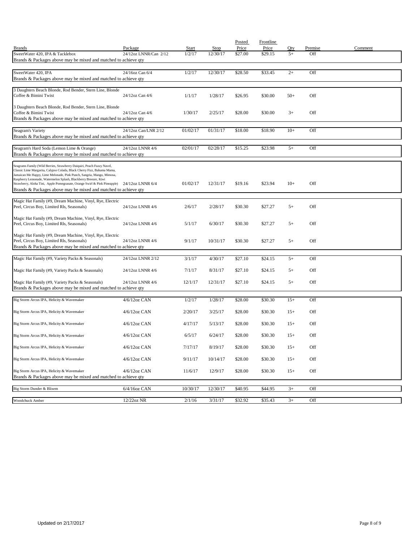|                                                                                                                                                   |                       |              |          | Posted  | Frontline |       |         |         |
|---------------------------------------------------------------------------------------------------------------------------------------------------|-----------------------|--------------|----------|---------|-----------|-------|---------|---------|
| <b>Brands</b>                                                                                                                                     | Package               | <b>Start</b> | Stop     | Price   | Price     | Qty   | Premise | Comment |
| SweetWater 420, IPA & Tacklebox<br>Brands & Packages above may be mixed and matched to achieve qty                                                | 24/12oz LNNR/Can 2/12 | 1/2/17       | 12/30/17 | \$27.00 | \$29.15   | $5+$  | Off     |         |
|                                                                                                                                                   |                       |              |          |         |           |       |         |         |
| SweetWater 420, IPA                                                                                                                               | 24/16oz Can 6/4       | 1/2/17       | 12/30/17 | \$28.50 | \$33.45   | $2+$  | Off     |         |
| Brands & Packages above may be mixed and matched to achieve qty                                                                                   |                       |              |          |         |           |       |         |         |
|                                                                                                                                                   |                       |              |          |         |           |       |         |         |
| 3 Daughters Beach Blonde, Rod Bender, Stern Line, Blonde<br>Coffee & Bimini Twist                                                                 | 24/12oz Can 4/6       | 1/1/17       | 1/28/17  | \$26.95 | \$30.00   | $50+$ | Off     |         |
|                                                                                                                                                   |                       |              |          |         |           |       |         |         |
| 3 Daughters Beach Blonde, Rod Bender, Stern Line, Blonde                                                                                          |                       |              |          |         |           |       |         |         |
| Coffee & Bimini Twist                                                                                                                             | 24/12oz Can 4/6       | 1/30/17      | 2/25/17  | \$28.00 | \$30.00   | $3+$  | Off     |         |
| Brands & Packages above may be mixed and matched to achieve qty                                                                                   |                       |              |          |         |           |       |         |         |
| Seagram's Variety                                                                                                                                 | 24/12oz Can/LNR 2/12  | 01/02/17     | 01/31/17 | \$18.00 | \$18.90   | $10+$ | Off     |         |
| Brands & Packages above may be mixed and matched to achieve qty                                                                                   |                       |              |          |         |           |       |         |         |
|                                                                                                                                                   |                       |              |          |         |           |       |         |         |
| Seagram's Hard Soda (Lemon Lime & Orange)                                                                                                         | 24/12oz LNNR 4/6      | 02/01/17     | 02/28/17 | \$15.25 | \$23.98   | $5+$  | Off     |         |
| Brands & Packages above may be mixed and matched to achieve qty                                                                                   |                       |              |          |         |           |       |         |         |
|                                                                                                                                                   |                       |              |          |         |           |       |         |         |
| Seagrams Family (Wild Berries, Strawberry Daiquiri, Peach Fuzzy Navel,<br>Classic Lime Margarita, Calypso Colada, Black Cherry Fizz, Bahama Mama, |                       |              |          |         |           |       |         |         |
| Jamaican Me Happy, Lime Melonade, Pink Punch, Sangria, Mango, Mimosa,<br>Raspberry Lemonade, Watermelon Splash, Blackberry Breezer, Kiwi          |                       |              |          |         |           |       |         |         |
| Strawberry, Aloha Tini, Apple Pomegranate, Orange Swirl & Pink Pineapple)                                                                         | 24/12oz LNNR 6/4      | 01/02/17     | 12/31/17 | \$19.16 | \$23.94   | $10+$ | Off     |         |
| Brands & Packages above may be mixed and matched to achieve qty                                                                                   |                       |              |          |         |           |       |         |         |
|                                                                                                                                                   |                       |              |          |         |           |       |         |         |
| Magic Hat Family (#9, Dream Machine, Vinyl, Rye, Electric<br>Peel, Circus Boy, Limited Rls, Seasonals)                                            | 24/12oz LNNR 4/6      | 2/6/17       | 2/28/17  | \$30.30 | \$27.27   | $5+$  | Off     |         |
|                                                                                                                                                   |                       |              |          |         |           |       |         |         |
| Magic Hat Family (#9, Dream Machine, Vinyl, Rye, Electric                                                                                         |                       |              |          |         |           |       |         |         |
| Peel, Circus Boy, Limited Rls, Seasonals)                                                                                                         | 24/12oz LNNR 4/6      | 5/1/17       | 6/30/17  | \$30.30 | \$27.27   | $5+$  | Off     |         |
| Magic Hat Family (#9, Dream Machine, Vinyl, Rye, Electric                                                                                         |                       |              |          |         |           |       |         |         |
| Peel, Circus Boy, Limited Rls, Seasonals)                                                                                                         | 24/12oz LNNR 4/6      | 9/1/17       | 10/31/17 | \$30.30 | \$27.27   | $5+$  | Off     |         |
| Brands & Packages above may be mixed and matched to achieve qty                                                                                   |                       |              |          |         |           |       |         |         |
|                                                                                                                                                   |                       |              |          |         |           |       |         |         |
| Magic Hat Family (#9, Variety Packs & Seasonals)                                                                                                  | 24/12oz LNNR 2/12     | 3/1/17       | 4/30/17  | \$27.10 | \$24.15   | $5+$  | Off     |         |
| Magic Hat Family (#9, Variety Packs & Seasonals)                                                                                                  | 24/12oz LNNR 4/6      | 7/1/17       | 8/31/17  | \$27.10 | \$24.15   | $5+$  | Off     |         |
|                                                                                                                                                   |                       |              |          |         |           |       |         |         |
| Magic Hat Family (#9, Variety Packs & Seasonals)                                                                                                  | 24/12oz LNNR 4/6      | 12/1/17      | 12/31/17 | \$27.10 | \$24.15   | $5+$  | Off     |         |
| Brands & Packages above may be mixed and matched to achieve qty                                                                                   |                       |              |          |         |           |       |         |         |
|                                                                                                                                                   |                       |              |          |         |           |       |         |         |
| Big Storm Arcus IPA, Helicity & Wavemaker                                                                                                         | 4/6/12oz CAN          | 1/2/17       | 1/28/17  | \$28.00 | \$30.30   | $15+$ | Off     |         |
| Big Storm Arcus IPA, Helicity & Wavemaker                                                                                                         | $4/6/12$ oz CAN       | 2/20/17      | 3/25/17  | \$28.00 | \$30.30   | $15+$ | Off     |         |
|                                                                                                                                                   |                       |              |          |         |           |       |         |         |
| Big Storm Arcus IPA, Helicity & Wavemaker                                                                                                         | $4/6/12$ oz CAN       | 4/17/17      | 5/13/17  | \$28.00 | \$30.30   | $15+$ | Off     |         |
|                                                                                                                                                   |                       |              |          |         |           |       |         |         |
| Big Storm Arcus IPA, Helicity & Wavemaker                                                                                                         | $4/6/12$ oz CAN       | 6/5/17       | 6/24/17  | \$28.00 | \$30.30   | $15+$ | Off     |         |
| Big Storm Arcus IPA, Helicity & Wavemaker                                                                                                         | $4/6/12$ oz CAN       |              | 8/19/17  | \$28.00 | \$30.30   |       |         |         |
|                                                                                                                                                   |                       | 7/17/17      |          |         |           | $15+$ | Off     |         |
| Big Storm Arcus IPA, Helicity & Wavemaker                                                                                                         | 4/6/12oz CAN          | 9/11/17      | 10/14/17 | \$28.00 | \$30.30   | $15+$ | Off     |         |
|                                                                                                                                                   |                       |              |          |         |           |       |         |         |
| Big Storm Arcus IPA, Helicity & Wavemaker                                                                                                         | $4/6/12$ oz CAN       | 11/6/17      | 12/9/17  | \$28.00 | \$30.30   | $15+$ | Off     |         |
| Brands & Packages above may be mixed and matched to achieve qty                                                                                   |                       |              |          |         |           |       |         |         |
| Big Storm Dunder & Blixem                                                                                                                         | $6/4/16$ oz CAN       | 10/30/17     | 12/30/17 | \$40.95 | \$44.95   | $3+$  | Off     |         |
|                                                                                                                                                   |                       |              |          |         |           |       |         |         |
| Woodchuck Amber                                                                                                                                   | 12/22oz NR            | 2/1/16       | 3/31/17  | \$32.92 | \$35.43   | $3+$  | Off     |         |